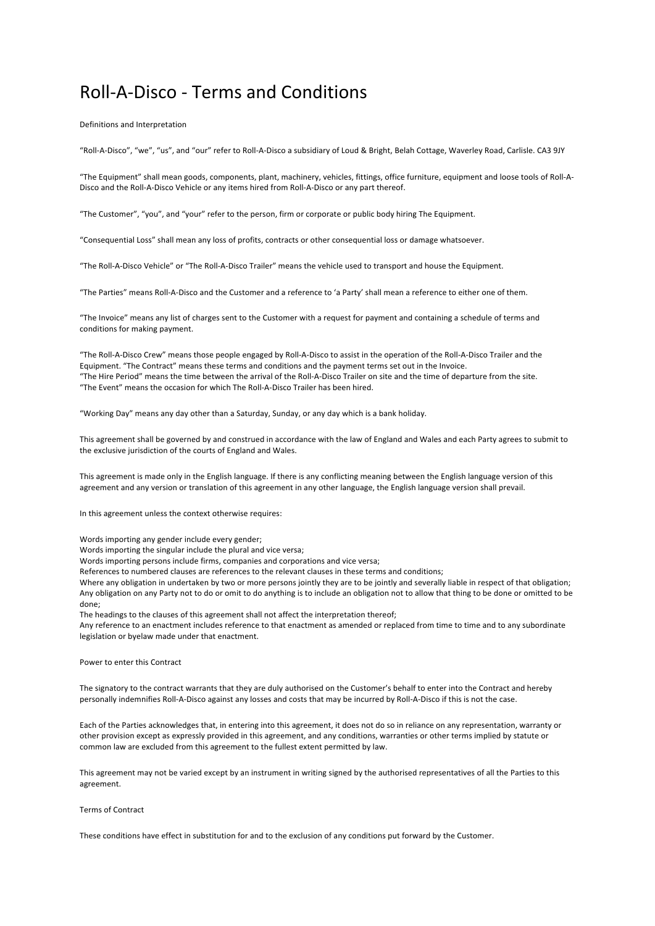# Roll-A-Disco - Terms and Conditions

Definitions and Interpretation

"Roll-A-Disco", "we", "us", and "our" refer to Roll-A-Disco a subsidiary of Loud & Bright, Belah Cottage, Waverley Road, Carlisle. CA3 9JY

"The Equipment" shall mean goods, components, plant, machinery, vehicles, fittings, office furniture, equipment and loose tools of Roll-A-Disco and the Roll-A-Disco Vehicle or any items hired from Roll-A-Disco or any part thereof.

"The Customer", "you", and "your" refer to the person, firm or corporate or public body hiring The Equipment.

"Consequential Loss" shall mean any loss of profits, contracts or other consequential loss or damage whatsoever.

"The Roll-A-Disco Vehicle" or "The Roll-A-Disco Trailer" means the vehicle used to transport and house the Equipment.

"The Parties" means Roll-A-Disco and the Customer and a reference to 'a Party' shall mean a reference to either one of them.

"The Invoice" means any list of charges sent to the Customer with a request for payment and containing a schedule of terms and conditions for making payment.

"The Roll-A-Disco Crew" means those people engaged by Roll-A-Disco to assist in the operation of the Roll-A-Disco Trailer and the Equipment. "The Contract" means these terms and conditions and the payment terms set out in the Invoice. "The Hire Period" means the time between the arrival of the Roll-A-Disco Trailer on site and the time of departure from the site. "The Event" means the occasion for which The Roll-A-Disco Trailer has been hired.

"Working Day" means any day other than a Saturday, Sunday, or any day which is a bank holiday.

This agreement shall be governed by and construed in accordance with the law of England and Wales and each Party agrees to submit to the exclusive jurisdiction of the courts of England and Wales.

This agreement is made only in the English language. If there is any conflicting meaning between the English language version of this agreement and any version or translation of this agreement in any other language, the English language version shall prevail.

In this agreement unless the context otherwise requires:

Words importing any gender include every gender;

Words importing the singular include the plural and vice versa;

Words importing persons include firms, companies and corporations and vice versa;

References to numbered clauses are references to the relevant clauses in these terms and conditions;

Where any obligation in undertaken by two or more persons jointly they are to be jointly and severally liable in respect of that obligation; Any obligation on any Party not to do or omit to do anything is to include an obligation not to allow that thing to be done or omitted to be done;

The headings to the clauses of this agreement shall not affect the interpretation thereof;

Any reference to an enactment includes reference to that enactment as amended or replaced from time to time and to any subordinate legislation or byelaw made under that enactment.

Power to enter this Contract

The signatory to the contract warrants that they are duly authorised on the Customer's behalf to enter into the Contract and hereby personally indemnifies Roll-A-Disco against any losses and costs that may be incurred by Roll-A-Disco if this is not the case.

Each of the Parties acknowledges that, in entering into this agreement, it does not do so in reliance on any representation, warranty or other provision except as expressly provided in this agreement, and any conditions, warranties or other terms implied by statute or common law are excluded from this agreement to the fullest extent permitted by law.

This agreement may not be varied except by an instrument in writing signed by the authorised representatives of all the Parties to this agreement.

# Terms of Contract

These conditions have effect in substitution for and to the exclusion of any conditions put forward by the Customer.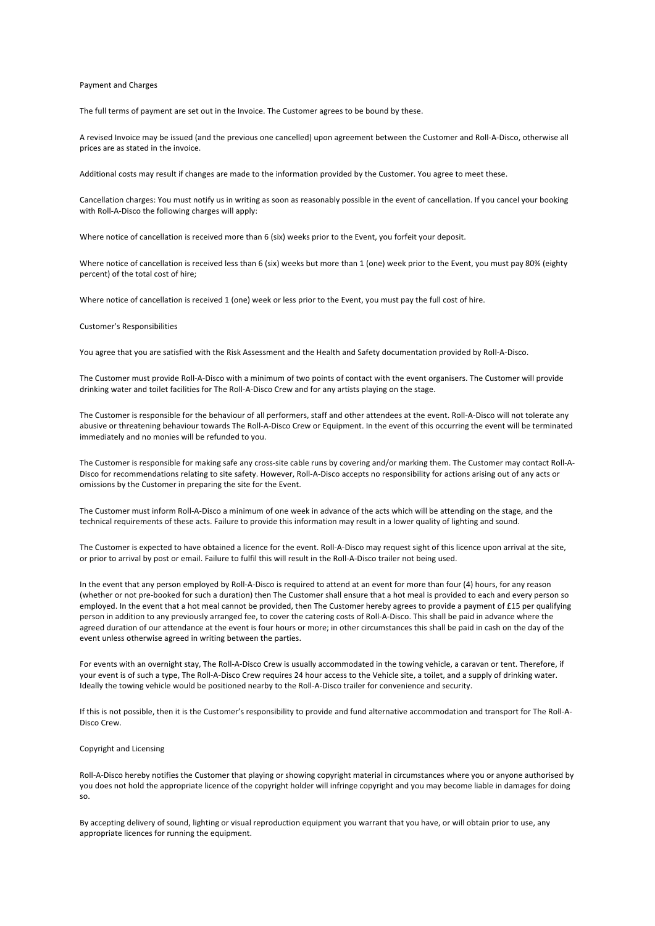#### Payment and Charges

The full terms of payment are set out in the Invoice. The Customer agrees to be bound by these.

A revised Invoice may be issued (and the previous one cancelled) upon agreement between the Customer and Roll-A-Disco, otherwise all prices are as stated in the invoice.

Additional costs may result if changes are made to the information provided by the Customer. You agree to meet these.

Cancellation charges: You must notify us in writing as soon as reasonably possible in the event of cancellation. If you cancel your booking with Roll-A-Disco the following charges will apply:

Where notice of cancellation is received more than 6 (six) weeks prior to the Event, you forfeit your deposit.

Where notice of cancellation is received less than 6 (six) weeks but more than 1 (one) week prior to the Event, you must pay 80% (eighty percent) of the total cost of hire;

Where notice of cancellation is received 1 (one) week or less prior to the Event, you must pay the full cost of hire.

#### Customer's Responsibilities

You agree that you are satisfied with the Risk Assessment and the Health and Safety documentation provided by Roll-A-Disco.

The Customer must provide Roll-A-Disco with a minimum of two points of contact with the event organisers. The Customer will provide drinking water and toilet facilities for The Roll-A-Disco Crew and for any artists playing on the stage.

The Customer is responsible for the behaviour of all performers, staff and other attendees at the event. Roll-A-Disco will not tolerate any abusive or threatening behaviour towards The Roll-A-Disco Crew or Equipment. In the event of this occurring the event will be terminated immediately and no monies will be refunded to you.

The Customer is responsible for making safe any cross-site cable runs by covering and/or marking them. The Customer may contact Roll-A-Disco for recommendations relating to site safety. However, Roll-A-Disco accepts no responsibility for actions arising out of any acts or omissions by the Customer in preparing the site for the Event.

The Customer must inform Roll-A-Disco a minimum of one week in advance of the acts which will be attending on the stage, and the technical requirements of these acts. Failure to provide this information may result in a lower quality of lighting and sound.

The Customer is expected to have obtained a licence for the event. Roll-A-Disco may request sight of this licence upon arrival at the site, or prior to arrival by post or email. Failure to fulfil this will result in the Roll-A-Disco trailer not being used.

In the event that any person employed by Roll-A-Disco is required to attend at an event for more than four (4) hours, for any reason (whether or not pre-booked for such a duration) then The Customer shall ensure that a hot meal is provided to each and every person so employed. In the event that a hot meal cannot be provided, then The Customer hereby agrees to provide a payment of £15 per qualifying person in addition to any previously arranged fee, to cover the catering costs of Roll-A-Disco. This shall be paid in advance where the agreed duration of our attendance at the event is four hours or more; in other circumstances this shall be paid in cash on the day of the event unless otherwise agreed in writing between the parties.

For events with an overnight stay, The Roll-A-Disco Crew is usually accommodated in the towing vehicle, a caravan or tent. Therefore, if your event is of such a type, The Roll-A-Disco Crew requires 24 hour access to the Vehicle site, a toilet, and a supply of drinking water. Ideally the towing vehicle would be positioned nearby to the Roll-A-Disco trailer for convenience and security.

If this is not possible, then it is the Customer's responsibility to provide and fund alternative accommodation and transport for The Roll-A-Disco Crew.

#### Copyright and Licensing

Roll-A-Disco hereby notifies the Customer that playing or showing copyright material in circumstances where you or anyone authorised by you does not hold the appropriate licence of the copyright holder will infringe copyright and you may become liable in damages for doing so.

By accepting delivery of sound, lighting or visual reproduction equipment you warrant that you have, or will obtain prior to use, any appropriate licences for running the equipment.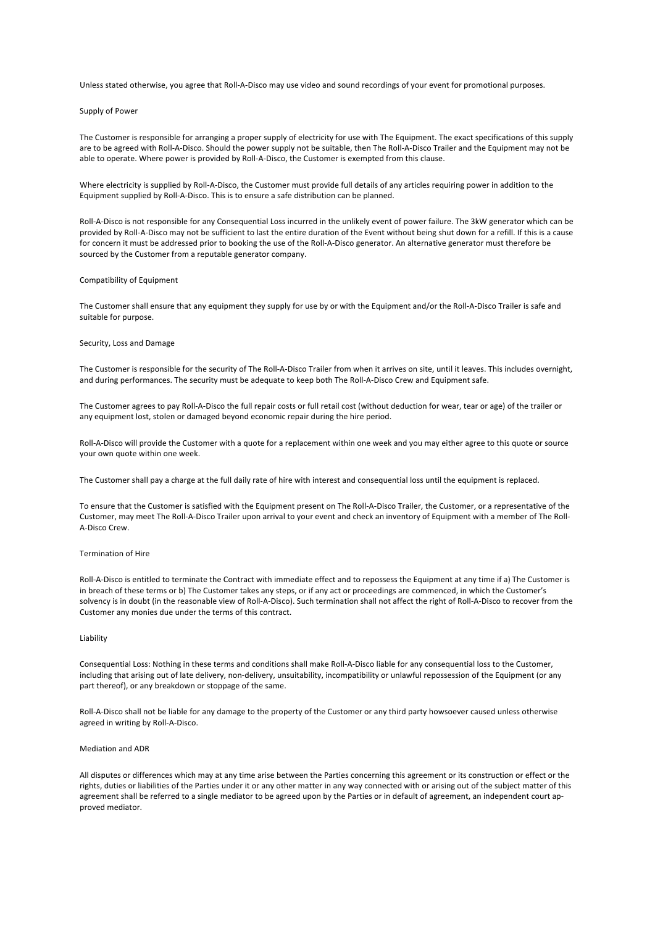Unless stated otherwise, you agree that Roll-A-Disco may use video and sound recordings of your event for promotional purposes.

## Supply of Power

The Customer is responsible for arranging a proper supply of electricity for use with The Equipment. The exact specifications of this supply are to be agreed with Roll-A-Disco. Should the power supply not be suitable, then The Roll-A-Disco Trailer and the Equipment may not be able to operate. Where power is provided by Roll-A-Disco, the Customer is exempted from this clause.

Where electricity is supplied by Roll-A-Disco, the Customer must provide full details of any articles requiring power in addition to the Equipment supplied by Roll-A-Disco. This is to ensure a safe distribution can be planned.

Roll-A-Disco is not responsible for any Consequential Loss incurred in the unlikely event of power failure. The 3kW generator which can be provided by Roll-A-Disco may not be sufficient to last the entire duration of the Event without being shut down for a refill. If this is a cause for concern it must be addressed prior to booking the use of the Roll-A-Disco generator. An alternative generator must therefore be sourced by the Customer from a reputable generator company.

## Compatibility of Equipment

The Customer shall ensure that any equipment they supply for use by or with the Equipment and/or the Roll-A-Disco Trailer is safe and suitable for purpose.

## Security, Loss and Damage

The Customer is responsible for the security of The Roll-A-Disco Trailer from when it arrives on site, until it leaves. This includes overnight, and during performances. The security must be adequate to keep both The Roll-A-Disco Crew and Equipment safe.

The Customer agrees to pay Roll-A-Disco the full repair costs or full retail cost (without deduction for wear, tear or age) of the trailer or any equipment lost, stolen or damaged beyond economic repair during the hire period.

Roll-A-Disco will provide the Customer with a quote for a replacement within one week and you may either agree to this quote or source your own quote within one week.

The Customer shall pay a charge at the full daily rate of hire with interest and consequential loss until the equipment is replaced.

To ensure that the Customer is satisfied with the Equipment present on The Roll-A-Disco Trailer, the Customer, or a representative of the Customer, may meet The Roll-A-Disco Trailer upon arrival to your event and check an inventory of Equipment with a member of The Roll-A-Disco Crew.

## Termination of Hire

Roll-A-Disco is entitled to terminate the Contract with immediate effect and to repossess the Equipment at any time if a) The Customer is in breach of these terms or b) The Customer takes any steps, or if any act or proceedings are commenced, in which the Customer's solvency is in doubt (in the reasonable view of Roll-A-Disco). Such termination shall not affect the right of Roll-A-Disco to recover from the Customer any monies due under the terms of this contract.

## Liability

Consequential Loss: Nothing in these terms and conditions shall make Roll-A-Disco liable for any consequential loss to the Customer, including that arising out of late delivery, non-delivery, unsuitability, incompatibility or unlawful repossession of the Equipment (or any part thereof), or any breakdown or stoppage of the same.

Roll-A-Disco shall not be liable for any damage to the property of the Customer or any third party howsoever caused unless otherwise agreed in writing by Roll-A-Disco.

#### Mediation and ADR

All disputes or differences which may at any time arise between the Parties concerning this agreement or its construction or effect or the rights, duties or liabilities of the Parties under it or any other matter in any way connected with or arising out of the subject matter of this agreement shall be referred to a single mediator to be agreed upon by the Parties or in default of agreement, an independent court approved mediator.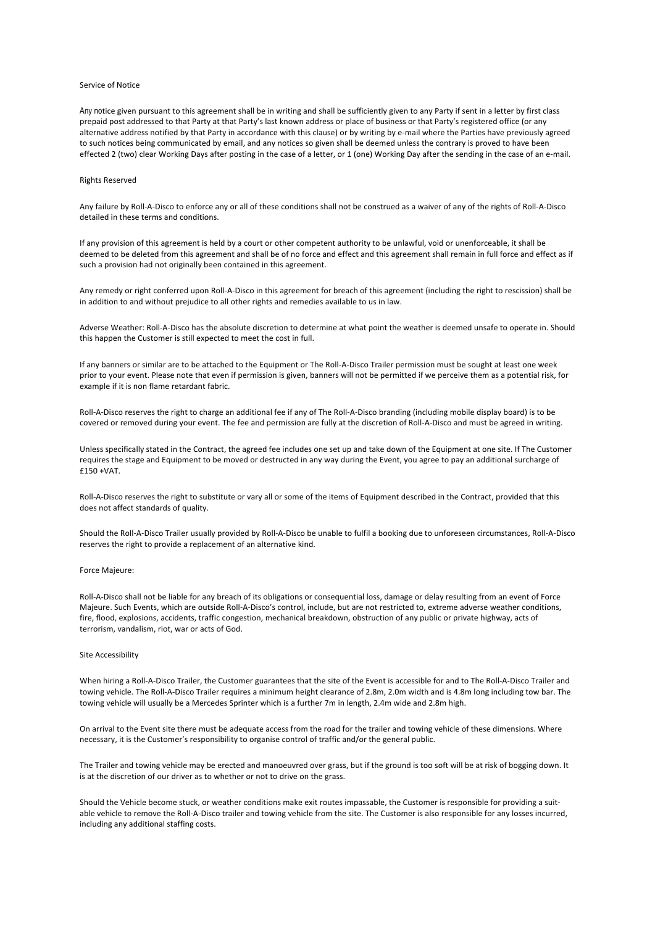#### Service of Notice

Any notice given pursuant to this agreement shall be in writing and shall be sufficiently given to any Party if sent in a letter by first class prepaid post addressed to that Party at that Party's last known address or place of business or that Party's registered office (or any alternative address notified by that Party in accordance with this clause) or by writing by e-mail where the Parties have previously agreed to such notices being communicated by email, and any notices so given shall be deemed unless the contrary is proved to have been effected 2 (two) clear Working Days after posting in the case of a letter, or 1 (one) Working Day after the sending in the case of an e-mail.

### Rights Reserved

Any failure by Roll-A-Disco to enforce any or all of these conditions shall not be construed as a waiver of any of the rights of Roll-A-Disco detailed in these terms and conditions.

If any provision of this agreement is held by a court or other competent authority to be unlawful, void or unenforceable, it shall be deemed to be deleted from this agreement and shall be of no force and effect and this agreement shall remain in full force and effect as if such a provision had not originally been contained in this agreement.

Any remedy or right conferred upon Roll-A-Disco in this agreement for breach of this agreement (including the right to rescission) shall be in addition to and without prejudice to all other rights and remedies available to us in law.

Adverse Weather: Roll-A-Disco has the absolute discretion to determine at what point the weather is deemed unsafe to operate in. Should this happen the Customer is still expected to meet the cost in full.

If any banners or similar are to be attached to the Equipment or The Roll-A-Disco Trailer permission must be sought at least one week prior to your event. Please note that even if permission is given, banners will not be permitted if we perceive them as a potential risk, for example if it is non flame retardant fabric.

Roll-A-Disco reserves the right to charge an additional fee if any of The Roll-A-Disco branding (including mobile display board) is to be covered or removed during your event. The fee and permission are fully at the discretion of Roll-A-Disco and must be agreed in writing.

Unless specifically stated in the Contract, the agreed fee includes one set up and take down of the Equipment at one site. If The Customer requires the stage and Equipment to be moved or destructed in any way during the Event, you agree to pay an additional surcharge of £150 +VAT.

Roll-A-Disco reserves the right to substitute or vary all or some of the items of Equipment described in the Contract, provided that this does not affect standards of quality.

Should the Roll-A-Disco Trailer usually provided by Roll-A-Disco be unable to fulfil a booking due to unforeseen circumstances, Roll-A-Disco reserves the right to provide a replacement of an alternative kind.

## Force Majeure:

Roll-A-Disco shall not be liable for any breach of its obligations or consequential loss, damage or delay resulting from an event of Force Majeure. Such Events, which are outside Roll-A-Disco's control, include, but are not restricted to, extreme adverse weather conditions, fire, flood, explosions, accidents, traffic congestion, mechanical breakdown, obstruction of any public or private highway, acts of terrorism, vandalism, riot, war or acts of God.

# Site Accessibility

When hiring a Roll-A-Disco Trailer, the Customer guarantees that the site of the Event is accessible for and to The Roll-A-Disco Trailer and towing vehicle. The Roll-A-Disco Trailer requires a minimum height clearance of 2.8m, 2.0m width and is 4.8m long including tow bar. The towing vehicle will usually be a Mercedes Sprinter which is a further 7m in length, 2.4m wide and 2.8m high.

On arrival to the Event site there must be adequate access from the road for the trailer and towing vehicle of these dimensions. Where necessary, it is the Customer's responsibility to organise control of traffic and/or the general public.

The Trailer and towing vehicle may be erected and manoeuvred over grass, but if the ground is too soft will be at risk of bogging down. It is at the discretion of our driver as to whether or not to drive on the grass.

Should the Vehicle become stuck, or weather conditions make exit routes impassable, the Customer is responsible for providing a suitable vehicle to remove the Roll-A-Disco trailer and towing vehicle from the site. The Customer is also responsible for any losses incurred, including any additional staffing costs.